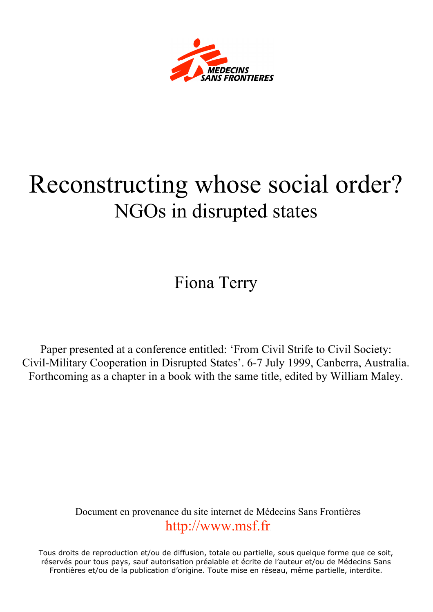

# Reconstructing whose social order? NGOs in disrupted states

Fiona Terry

Paper presented at a conference entitled: 'From Civil Strife to Civil Society: Civil-Military Cooperation in Disrupted States'. 6-7 July 1999, Canberra, Australia. Forthcoming as a chapter in a book with the same title, edited by William Maley.

> Document en provenance du site internet de Médecins Sans Frontières http://www.msf.fr

Tous droits de reproduction et/ou de diffusion, totale ou partielle, sous quelque forme que ce soit, réservés pour tous pays, sauf autorisation préalable et écrite de l'auteur et/ou de Médecins Sans Frontières et/ou de la publication d'origine. Toute mise en réseau, même partielle, interdite.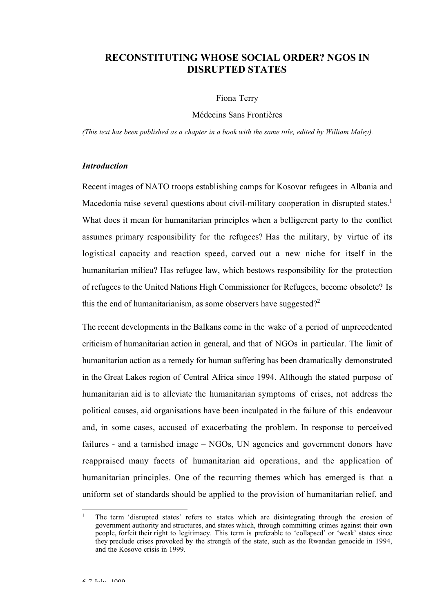# RECONSTITUTING WHOSE SOCIAL ORDER? NGOS IN DISRUPTED STATES

Fiona Terry

Médecins Sans Frontières

*(This text has been published as a chapter in a book with the same title, edited by William Maley).*

#### *Introduction*

Recent images of NATO troops establishing camps for Kosovar refugees in Albania and Macedonia raise several questions about civil-military cooperation in disrupted states.<sup>1</sup> What does it mean for humanitarian principles when a belligerent party to the conflict assumes primary responsibility for the refugees? Has the military, by virtue of its logistical capacity and reaction speed, carved out a new niche for itself in the humanitarian milieu? Has refugee law, which bestows responsibility for the protection of refugees to the United Nations High Commissioner for Refugees, become obsolete? Is this the end of humanitarianism, as some observers have suggested?<sup>2</sup>

The recent developments in the Balkans come in the wake of a period of unprecedented criticism of humanitarian action in general, and that of NGOs in particular. The limit of humanitarian action as a remedy for human suffering has been dramatically demonstrated in the Great Lakes region of Central Africa since 1994. Although the stated purpose of humanitarian aid is to alleviate the humanitarian symptoms of crises, not address the political causes, aid organisations have been inculpated in the failure of this endeavour and, in some cases, accused of exacerbating the problem. In response to perceived failures - and a tarnished image – NGOs, UN agencies and government donors have reappraised many facets of humanitarian aid operations, and the application of humanitarian principles. One of the recurring themes which has emerged is that a uniform set of standards should be applied to the provision of humanitarian relief, and

The term 'disrupted states' refers to states which are disintegrating through the erosion of government authority and structures, and states which, through committing crimes against their own people, forfeit their right to legitimacy. This term is preferable to 'collapsed' or 'weak' states since they preclude crises provoked by the strength of the state, such as the Rwandan genocide in 1994, and the Kosovo crisis in 1999.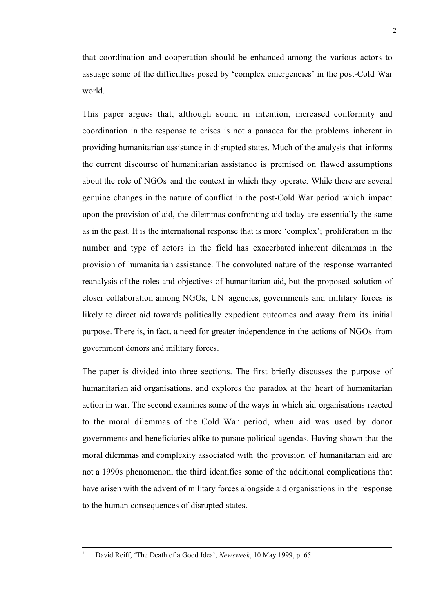that coordination and cooperation should be enhanced among the various actors to assuage some of the difficulties posed by 'complex emergencies' in the post-Cold War world.

This paper argues that, although sound in intention, increased conformity and coordination in the response to crises is not a panacea for the problems inherent in providing humanitarian assistance in disrupted states. Much of the analysis that informs the current discourse of humanitarian assistance is premised on flawed assumptions about the role of NGOs and the context in which they operate. While there are several genuine changes in the nature of conflict in the post-Cold War period which impact upon the provision of aid, the dilemmas confronting aid today are essentially the same as in the past. It is the international response that is more 'complex'; proliferation in the number and type of actors in the field has exacerbated inherent dilemmas in the provision of humanitarian assistance. The convoluted nature of the response warranted reanalysis of the roles and objectives of humanitarian aid, but the proposed solution of closer collaboration among NGOs, UN agencies, governments and military forces is likely to direct aid towards politically expedient outcomes and away from its initial purpose. There is, in fact, a need for greater independence in the actions of NGOs from government donors and military forces.

The paper is divided into three sections. The first briefly discusses the purpose of humanitarian aid organisations, and explores the paradox at the heart of humanitarian action in war. The second examines some of the ways in which aid organisations reacted to the moral dilemmas of the Cold War period, when aid was used by donor governments and beneficiaries alike to pursue political agendas. Having shown that the moral dilemmas and complexity associated with the provision of humanitarian aid are not a 1990s phenomenon, the third identifies some of the additional complications that have arisen with the advent of military forces alongside aid organisations in the response to the human consequences of disrupted states.

 $\overline{2}$ <sup>2</sup> David Reiff, 'The Death of a Good Idea', *Newsweek*, 10 May 1999, p. 65.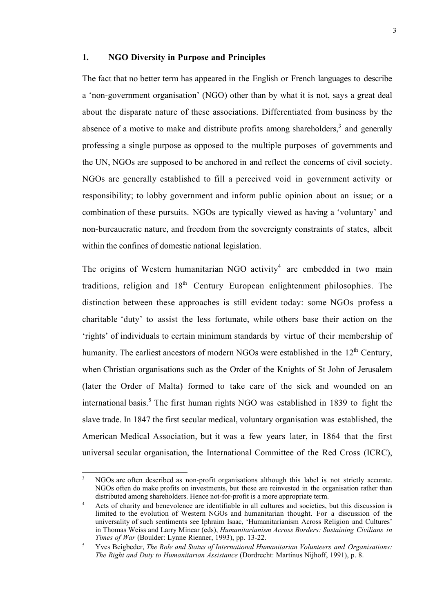#### 1. NGO Diversity in Purpose and Principles

The fact that no better term has appeared in the English or French languages to describe a 'non-government organisation' (NGO) other than by what it is not, says a great deal about the disparate nature of these associations. Differentiated from business by the absence of a motive to make and distribute profits among shareholders,<sup>3</sup> and generally professing a single purpose as opposed to the multiple purposes of governments and the UN, NGOs are supposed to be anchored in and reflect the concerns of civil society. NGOs are generally established to fill a perceived void in government activity or responsibility; to lobby government and inform public opinion about an issue; or a combination of these pursuits. NGOs are typically viewed as having a 'voluntary' and non-bureaucratic nature, and freedom from the sovereignty constraints of states, albeit within the confines of domestic national legislation.

The origins of Western humanitarian NGO activity<sup>4</sup> are embedded in two main traditions, religion and  $18<sup>th</sup>$  Century European enlightenment philosophies. The distinction between these approaches is still evident today: some NGOs profess a charitable 'duty' to assist the less fortunate, while others base their action on the 'rights' of individuals to certain minimum standards by virtue of their membership of humanity. The earliest ancestors of modern NGOs were established in the  $12<sup>th</sup>$  Century, when Christian organisations such as the Order of the Knights of St John of Jerusalem (later the Order of Malta) formed to take care of the sick and wounded on an international basis.<sup>5</sup> The first human rights NGO was established in 1839 to fight the slave trade. In 1847 the first secular medical, voluntary organisation was established, the American Medical Association, but it was a few years later, in 1864 that the first universal secular organisation, the International Committee of the Red Cross (ICRC),

NGOs are often described as non-profit organisations although this label is not strictly accurate. NGOs often do make profits on investments, but these are reinvested in the organisation rather than distributed among shareholders. Hence not-for-profit is a more appropriate term.

<sup>4</sup> Acts of charity and benevolence are identifiable in all cultures and societies, but this discussion is limited to the evolution of Western NGOs and humanitarian thought. For a discussion of the universality of such sentiments see Iphraim Isaac, 'Humanitarianism Across Religion and Cultures' in Thomas Weiss and Larry Minear (eds), *Humanitarianism Across Borders: Sustaining Civilians in Times of War* (Boulder: Lynne Rienner, 1993), pp. 13-22.

<sup>5</sup> Yves Beigbeder, *The Role and Status of International Humanitarian Volunteers and Organisations: The Right and Duty to Humanitarian Assistance* (Dordrecht: Martinus Nijhoff, 1991), p. 8.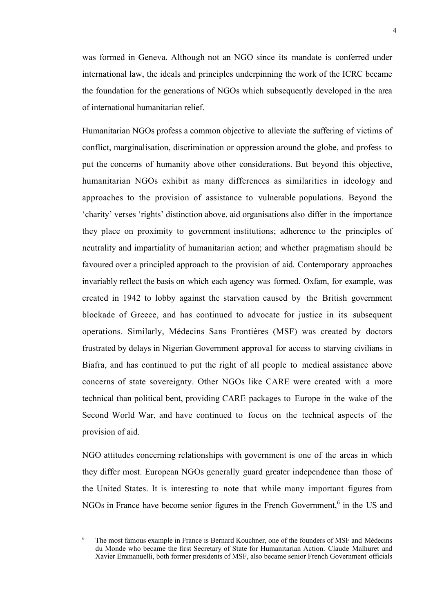was formed in Geneva. Although not an NGO since its mandate is conferred under international law, the ideals and principles underpinning the work of the ICRC became the foundation for the generations of NGOs which subsequently developed in the area of international humanitarian relief.

Humanitarian NGOs profess a common objective to alleviate the suffering of victims of conflict, marginalisation, discrimination or oppression around the globe, and profess to put the concerns of humanity above other considerations. But beyond this objective, humanitarian NGOs exhibit as many differences as similarities in ideology and approaches to the provision of assistance to vulnerable populations. Beyond the 'charity' verses 'rights' distinction above, aid organisations also differ in the importance they place on proximity to government institutions; adherence to the principles of neutrality and impartiality of humanitarian action; and whether pragmatism should be favoured over a principled approach to the provision of aid. Contemporary approaches invariably reflect the basis on which each agency was formed. Oxfam, for example, was created in 1942 to lobby against the starvation caused by the British government blockade of Greece, and has continued to advocate for justice in its subsequent operations. Similarly, Médecins Sans Frontières (MSF) was created by doctors frustrated by delays in Nigerian Government approval for access to starving civilians in Biafra, and has continued to put the right of all people to medical assistance above concerns of state sovereignty. Other NGOs like CARE were created with a more technical than political bent, providing CARE packages to Europe in the wake of the Second World War, and have continued to focus on the technical aspects of the provision of aid.

NGO attitudes concerning relationships with government is one of the areas in which they differ most. European NGOs generally guard greater independence than those of the United States. It is interesting to note that while many important figures from NGOs in France have become senior figures in the French Government.<sup>6</sup> in the US and

 <sup>6</sup> The most famous example in France is Bernard Kouchner, one of the founders of MSF and Médecins du Monde who became the first Secretary of State for Humanitarian Action. Claude Malhuret and Xavier Emmanuelli, both former presidents of MSF, also became senior French Government officials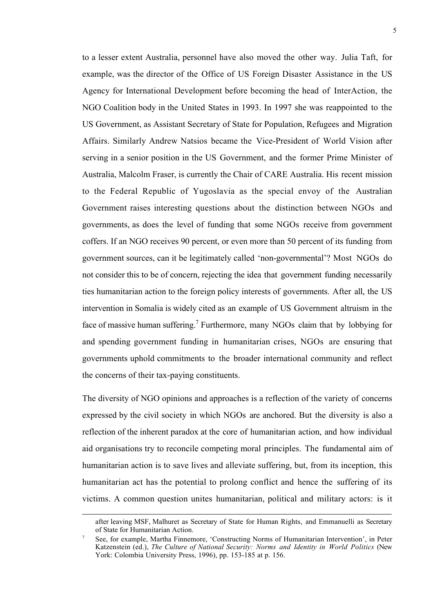to a lesser extent Australia, personnel have also moved the other way. Julia Taft, for example, was the director of the Office of US Foreign Disaster Assistance in the US Agency for International Development before becoming the head of InterAction, the NGO Coalition body in the United States in 1993. In 1997 she was reappointed to the US Government, as Assistant Secretary of State for Population, Refugees and Migration Affairs. Similarly Andrew Natsios became the Vice-President of World Vision after serving in a senior position in the US Government, and the former Prime Minister of Australia, Malcolm Fraser, is currently the Chair of CARE Australia. His recent mission to the Federal Republic of Yugoslavia as the special envoy of the Australian Government raises interesting questions about the distinction between NGOs and governments, as does the level of funding that some NGOs receive from government coffers. If an NGO receives 90 percent, or even more than 50 percent of its funding from government sources, can it be legitimately called 'non-governmental'? Most NGOs do not consider this to be of concern, rejecting the idea that government funding necessarily ties humanitarian action to the foreign policy interests of governments. After all, the US intervention in Somalia is widely cited as an example of US Government altruism in the face of massive human suffering.<sup>7</sup> Furthermore, many NGOs claim that by lobbying for and spending government funding in humanitarian crises, NGOs are ensuring that governments uphold commitments to the broader international community and reflect the concerns of their tax-paying constituents.

The diversity of NGO opinions and approaches is a reflection of the variety of concerns expressed by the civil society in which NGOs are anchored. But the diversity is also a reflection of the inherent paradox at the core of humanitarian action, and how individual aid organisations try to reconcile competing moral principles. The fundamental aim of humanitarian action is to save lives and alleviate suffering, but, from its inception, this humanitarian act has the potential to prolong conflict and hence the suffering of its victims. A common question unites humanitarian, political and military actors: is it

 $\overline{a}$ 

after leaving MSF, Malhuret as Secretary of State for Human Rights, and Emmanuelli as Secretary of State for Humanitarian Action.

<sup>7</sup> See, for example, Martha Finnemore, 'Constructing Norms of Humanitarian Intervention', in Peter Katzenstein (ed.), *The Culture of National Security: Norms and Identity in World Politics* (New York: Colombia University Press, 1996), pp. 153-185 at p. 156.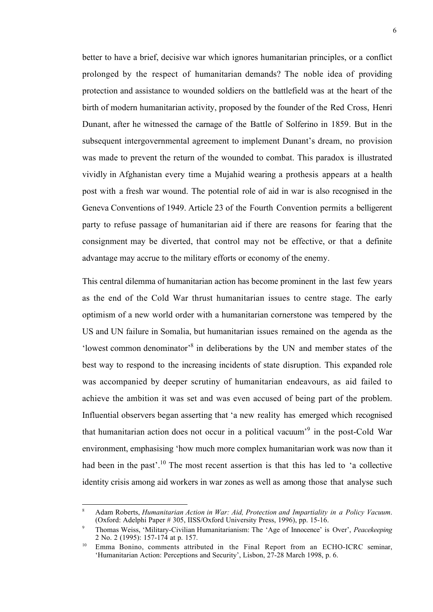better to have a brief, decisive war which ignores humanitarian principles, or a conflict prolonged by the respect of humanitarian demands? The noble idea of providing protection and assistance to wounded soldiers on the battlefield was at the heart of the birth of modern humanitarian activity, proposed by the founder of the Red Cross, Henri Dunant, after he witnessed the carnage of the Battle of Solferino in 1859. But in the subsequent intergovernmental agreement to implement Dunant's dream, no provision was made to prevent the return of the wounded to combat. This paradox is illustrated vividly in Afghanistan every time a Mujahid wearing a prothesis appears at a health post with a fresh war wound. The potential role of aid in war is also recognised in the Geneva Conventions of 1949. Article 23 of the Fourth Convention permits a belligerent party to refuse passage of humanitarian aid if there are reasons for fearing that the consignment may be diverted, that control may not be effective, or that a definite advantage may accrue to the military efforts or economy of the enemy.

This central dilemma of humanitarian action has become prominent in the last few years as the end of the Cold War thrust humanitarian issues to centre stage. The early optimism of a new world order with a humanitarian cornerstone was tempered by the US and UN failure in Somalia, but humanitarian issues remained on the agenda as the 'lowest common denominator'8 in deliberations by the UN and member states of the best way to respond to the increasing incidents of state disruption. This expanded role was accompanied by deeper scrutiny of humanitarian endeavours, as aid failed to achieve the ambition it was set and was even accused of being part of the problem. Influential observers began asserting that 'a new reality has emerged which recognised that humanitarian action does not occur in a political vacuum'9 in the post-Cold War environment, emphasising 'how much more complex humanitarian work was now than it had been in the past'.<sup>10</sup> The most recent assertion is that this has led to 'a collective identity crisis among aid workers in war zones as well as among those that analyse such

 <sup>8</sup> Adam Roberts, *Humanitarian Action in War: Aid, Protection and Impartiality in a Policy Vacuum*. (Oxford: Adelphi Paper # 305, IISS/Oxford University Press, 1996), pp. 15-16.

<sup>9</sup> Thomas Weiss, 'Military-Civilian Humanitarianism: The 'Age of Innocence' is Over', *Peacekeeping* 2 No. 2 (1995): 157-174 at p. 157.

<sup>&</sup>lt;sup>10</sup> Emma Bonino, comments attributed in the Final Report from an ECHO-ICRC seminar 'Humanitarian Action: Perceptions and Security', Lisbon, 27-28 March 1998, p. 6.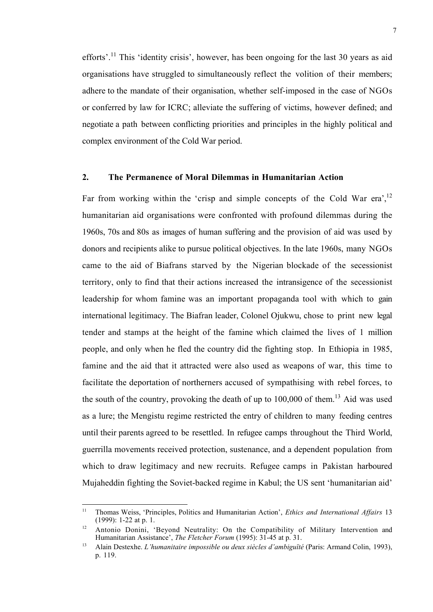efforts'.11 This 'identity crisis', however, has been ongoing for the last 30 years as aid organisations have struggled to simultaneously reflect the volition of their members; adhere to the mandate of their organisation, whether self-imposed in the case of NGOs or conferred by law for ICRC; alleviate the suffering of victims, however defined; and negotiate a path between conflicting priorities and principles in the highly political and complex environment of the Cold War period.

#### 2. The Permanence of Moral Dilemmas in Humanitarian Action

Far from working within the 'crisp and simple concepts of the Cold War era',  $12$ humanitarian aid organisations were confronted with profound dilemmas during the 1960s, 70s and 80s as images of human suffering and the provision of aid was used by donors and recipients alike to pursue political objectives. In the late 1960s, many NGOs came to the aid of Biafrans starved by the Nigerian blockade of the secessionist territory, only to find that their actions increased the intransigence of the secessionist leadership for whom famine was an important propaganda tool with which to gain international legitimacy. The Biafran leader, Colonel Ojukwu, chose to print new legal tender and stamps at the height of the famine which claimed the lives of 1 million people, and only when he fled the country did the fighting stop. In Ethiopia in 1985, famine and the aid that it attracted were also used as weapons of war, this time to facilitate the deportation of northerners accused of sympathising with rebel forces, to the south of the country, provoking the death of up to  $100,000$  of them.<sup>13</sup> Aid was used as a lure; the Mengistu regime restricted the entry of children to many feeding centres until their parents agreed to be resettled. In refugee camps throughout the Third World, guerrilla movements received protection, sustenance, and a dependent population from which to draw legitimacy and new recruits. Refugee camps in Pakistan harboured Mujaheddin fighting the Soviet-backed regime in Kabul; the US sent 'humanitarian aid'

 <sup>11</sup> Thomas Weiss, 'Principles, Politics and Humanitarian Action', *Ethics and International Affairs* <sup>13</sup> (1999): 1-22 at p. 1.

<sup>&</sup>lt;sup>12</sup> Antonio Donini, 'Beyond Neutrality: On the Compatibility of Military Intervention and Humanitarian Assistance', *The Fletcher Forum* (1995): 31-45 at p. 31.

<sup>13</sup> Alain Destexhe. *L'humanitaire impossible ou deux siècles d'ambiguïté* (Paris: Armand Colin, 1993), p. 119.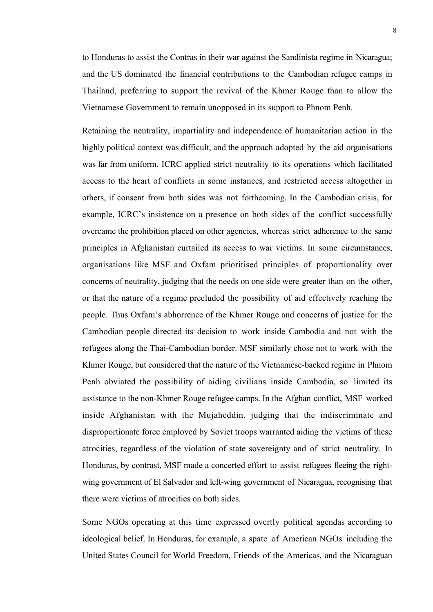to Honduras to assist the Contras in their war against the Sandinista regime in Nicaragua; and the US dominated the financial contributions to the Cambodian refugee camps in Thailand, preferring to support the revival of the Khmer Rouge than to allow the Vietnamese Government to remain unopposed in its support to Phnom Penh.

Retaining the neutrality, impartiality and independence of humanitarian action in the highly political context was difficult, and the approach adopted by the aid organisations was far from uniform. ICRC applied strict neutrality to its operations which facilitated access to the heart of conflicts in some instances, and restricted access altogether in others, if consent from both sides was not forthcoming. In the Cambodian crisis, for example, ICRC's insistence on a presence on both sides of the conflict successfully overcame the prohibition placed on other agencies, whereas strict adherence to the same principles in Afghanistan curtailed its access to war victims. In some circumstances, organisations like MSF and Oxfam prioritised principles of proportionality over concerns of neutrality, judging that the needs on one side were greater than on the other, or that the nature of a regime precluded the possibility of aid effectively reaching the people. Thus Oxfam's abhorrence of the Khmer Rouge and concerns of justice for the Cambodian people directed its decision to work inside Cambodia and not with the refugees along the Thai-Cambodian border. MSF similarly chose not to work with the Khmer Rouge, but considered that the nature of the Vietnamese-backed regime in Phnom Penh obviated the possibility of aiding civilians inside Cambodia, so limited its assistance to the non-Khmer Rouge refugee camps. In the Afghan conflict, MSF worked inside Afghanistan with the Mujaheddin, judging that the indiscriminate and disproportionate force employed by Soviet troops warranted aiding the victims of these atrocities, regardless of the violation of state sovereignty and of strict neutrality. In Honduras, by contrast, MSF made a concerted effort to assist refugees fleeing the rightwing government of El Salvador and left-wing government of Nicaragua, recognising that there were victims of atrocities on both sides.

Some NGOs operating at this time expressed overtly political agendas according to ideological belief. In Honduras, for example, a spate of American NGOs including the United States Council for World Freedom, Friends of the Americas, and the Nicaraguan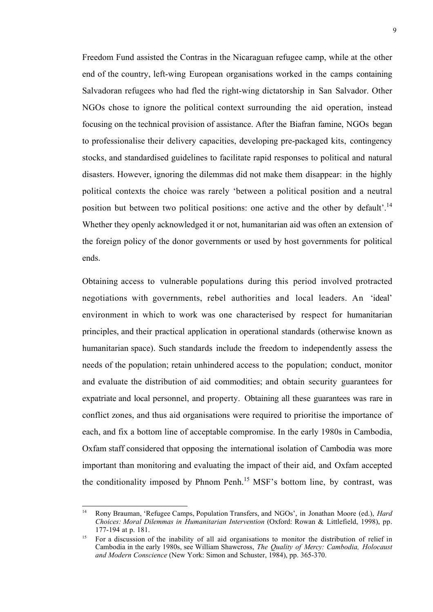Freedom Fund assisted the Contras in the Nicaraguan refugee camp, while at the other end of the country, left-wing European organisations worked in the camps containing Salvadoran refugees who had fled the right-wing dictatorship in San Salvador. Other NGOs chose to ignore the political context surrounding the aid operation, instead focusing on the technical provision of assistance. After the Biafran famine, NGOs began to professionalise their delivery capacities, developing pre-packaged kits, contingency stocks, and standardised guidelines to facilitate rapid responses to political and natural disasters. However, ignoring the dilemmas did not make them disappear: in the highly political contexts the choice was rarely 'between a political position and a neutral position but between two political positions: one active and the other by default'.<sup>14</sup> Whether they openly acknowledged it or not, humanitarian aid was often an extension of the foreign policy of the donor governments or used by host governments for political ends.

Obtaining access to vulnerable populations during this period involved protracted negotiations with governments, rebel authorities and local leaders. An 'ideal' environment in which to work was one characterised by respect for humanitarian principles, and their practical application in operational standards (otherwise known as humanitarian space). Such standards include the freedom to independently assess the needs of the population; retain unhindered access to the population; conduct, monitor and evaluate the distribution of aid commodities; and obtain security guarantees for expatriate and local personnel, and property. Obtaining all these guarantees was rare in conflict zones, and thus aid organisations were required to prioritise the importance of each, and fix a bottom line of acceptable compromise. In the early 1980s in Cambodia, Oxfam staff considered that opposing the international isolation of Cambodia was more important than monitoring and evaluating the impact of their aid, and Oxfam accepted the conditionality imposed by Phnom Penh.<sup>15</sup> MSF's bottom line, by contrast, was

 <sup>14</sup> Rony Brauman, 'Refugee Camps, Population Transfers, and NGOs', in Jonathan Moore (ed.), *Hard Choices: Moral Dilemmas in Humanitarian Intervention* (Oxford: Rowan & Littlefield, 1998), pp. 177-194 at p. 181.

<sup>&</sup>lt;sup>15</sup> For a discussion of the inability of all aid organisations to monitor the distribution of relief in Cambodia in the early 1980s, see William Shawcross, *The Quality of Mercy: Cambodia, Holocaust and Modern Conscience* (New York: Simon and Schuster, 1984), pp. 365-370.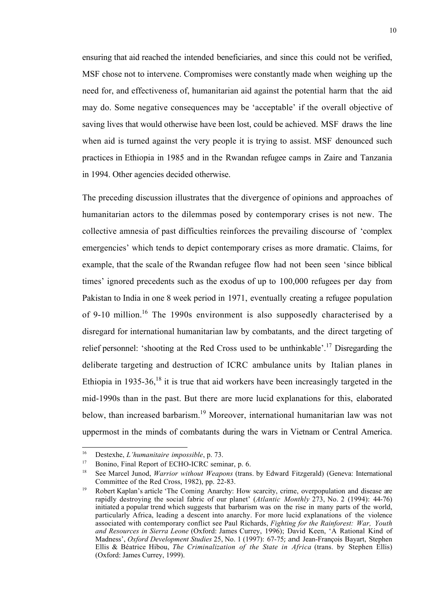ensuring that aid reached the intended beneficiaries, and since this could not be verified, MSF chose not to intervene. Compromises were constantly made when weighing up the need for, and effectiveness of, humanitarian aid against the potential harm that the aid may do. Some negative consequences may be 'acceptable' if the overall objective of saving lives that would otherwise have been lost, could be achieved. MSF draws the line when aid is turned against the very people it is trying to assist. MSF denounced such practices in Ethiopia in 1985 and in the Rwandan refugee camps in Zaire and Tanzania in 1994. Other agencies decided otherwise.

The preceding discussion illustrates that the divergence of opinions and approaches of humanitarian actors to the dilemmas posed by contemporary crises is not new. The collective amnesia of past difficulties reinforces the prevailing discourse of 'complex emergencies' which tends to depict contemporary crises as more dramatic. Claims, for example, that the scale of the Rwandan refugee flow had not been seen 'since biblical times' ignored precedents such as the exodus of up to 100,000 refugees per day from Pakistan to India in one 8 week period in 1971, eventually creating a refugee population of 9-10 million.<sup>16</sup> The 1990s environment is also supposedly characterised by a disregard for international humanitarian law by combatants, and the direct targeting of relief personnel: 'shooting at the Red Cross used to be unthinkable'.17 Disregarding the deliberate targeting and destruction of ICRC ambulance units by Italian planes in Ethiopia in 1935-36,<sup>18</sup> it is true that aid workers have been increasingly targeted in the mid-1990s than in the past. But there are more lucid explanations for this, elaborated below, than increased barbarism.<sup>19</sup> Moreover, international humanitarian law was not uppermost in the minds of combatants during the wars in Vietnam or Central America.

 <sup>16</sup> Destexhe, *L'humanitaire impossible*, p. 73.

<sup>&</sup>lt;sup>17</sup> Bonino, Final Report of ECHO-ICRC seminar, p. 6.

<sup>18</sup> See Marcel Junod, *Warrior without Weapons* (trans. by Edward Fitzgerald) (Geneva: International Committee of the Red Cross, 1982), pp. 22-83.

<sup>&</sup>lt;sup>19</sup> Robert Kaplan's article 'The Coming Anarchy: How scarcity, crime, overpopulation and disease are rapidly destroying the social fabric of our planet' (*Atlantic Monthly* 273, No. 2 (1994): 44-76) initiated a popular trend which suggests that barbarism was on the rise in many parts of the world, particularly Africa, leading a descent into anarchy. For more lucid explanations of the violence associated with contemporary conflict see Paul Richards, *Fighting for the Rainforest: War, Youth and Resources in Sierra Leone* (Oxford: James Currey, 1996); David Keen, 'A Rational Kind of Madness', *Oxford Development Studies* 25, No. 1 (1997): 67-75; and Jean-François Bayart, Stephen Ellis & Béatrice Hibou, *The Criminalization of the State in Africa* (trans. by Stephen Ellis) (Oxford: James Currey, 1999).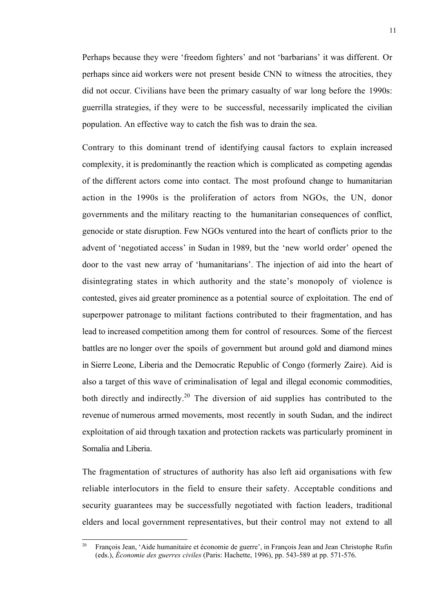Perhaps because they were 'freedom fighters' and not 'barbarians' it was different. Or perhaps since aid workers were not present beside CNN to witness the atrocities, they did not occur. Civilians have been the primary casualty of war long before the 1990s: guerrilla strategies, if they were to be successful, necessarily implicated the civilian population. An effective way to catch the fish was to drain the sea.

Contrary to this dominant trend of identifying causal factors to explain increased complexity, it is predominantly the reaction which is complicated as competing agendas of the different actors come into contact. The most profound change to humanitarian action in the 1990s is the proliferation of actors from NGOs, the UN, donor governments and the military reacting to the humanitarian consequences of conflict, genocide or state disruption. Few NGOs ventured into the heart of conflicts prior to the advent of 'negotiated access' in Sudan in 1989, but the 'new world order' opened the door to the vast new array of 'humanitarians'. The injection of aid into the heart of disintegrating states in which authority and the state's monopoly of violence is contested, gives aid greater prominence as a potential source of exploitation. The end of superpower patronage to militant factions contributed to their fragmentation, and has lead to increased competition among them for control of resources. Some of the fiercest battles are no longer over the spoils of government but around gold and diamond mines in Sierre Leone, Liberia and the Democratic Republic of Congo (formerly Zaire). Aid is also a target of this wave of criminalisation of legal and illegal economic commodities, both directly and indirectly.<sup>20</sup> The diversion of aid supplies has contributed to the revenue of numerous armed movements, most recently in south Sudan, and the indirect exploitation of aid through taxation and protection rackets was particularly prominent in Somalia and Liberia.

The fragmentation of structures of authority has also left aid organisations with few reliable interlocutors in the field to ensure their safety. Acceptable conditions and security guarantees may be successfully negotiated with faction leaders, traditional elders and local government representatives, but their control may not extend to all

<sup>&</sup>lt;sup>20</sup> François Jean, 'Aide humanitaire et économie de guerre', in François Jean and Jean Christophe Rufin (eds.), *Économie des guerres civiles* (Paris: Hachette, 1996), pp. 543-589 at pp. 571-576.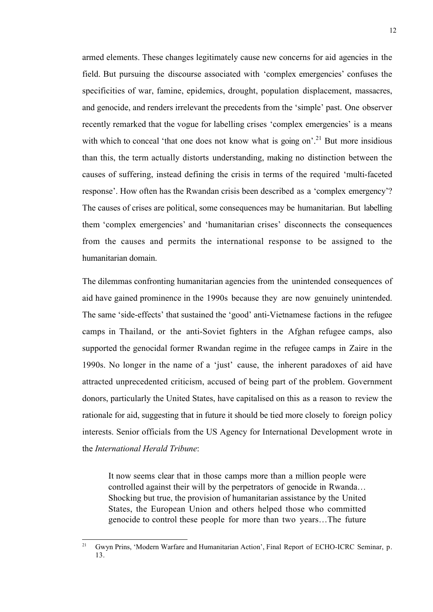armed elements. These changes legitimately cause new concerns for aid agencies in the field. But pursuing the discourse associated with 'complex emergencies' confuses the specificities of war, famine, epidemics, drought, population displacement, massacres, and genocide, and renders irrelevant the precedents from the 'simple' past. One observer recently remarked that the vogue for labelling crises 'complex emergencies' is a means with which to conceal 'that one does not know what is going on'.<sup>21</sup> But more insidious than this, the term actually distorts understanding, making no distinction between the causes of suffering, instead defining the crisis in terms of the required 'multi-faceted response'. How often has the Rwandan crisis been described as a 'complex emergency'? The causes of crises are political, some consequences may be humanitarian. But labelling them 'complex emergencies' and 'humanitarian crises' disconnects the consequences from the causes and permits the international response to be assigned to the humanitarian domain.

The dilemmas confronting humanitarian agencies from the unintended consequences of aid have gained prominence in the 1990s because they are now genuinely unintended. The same 'side-effects' that sustained the 'good' anti-Vietnamese factions in the refugee camps in Thailand, or the anti-Soviet fighters in the Afghan refugee camps, also supported the genocidal former Rwandan regime in the refugee camps in Zaire in the 1990s. No longer in the name of a 'just' cause, the inherent paradoxes of aid have attracted unprecedented criticism, accused of being part of the problem. Government donors, particularly the United States, have capitalised on this as a reason to review the rationale for aid, suggesting that in future it should be tied more closely to foreign policy interests. Senior officials from the US Agency for International Development wrote in the *International Herald Tribune*:

It now seems clear that in those camps more than a million people were controlled against their will by the perpetrators of genocide in Rwanda… Shocking but true, the provision of humanitarian assistance by the United States, the European Union and others helped those who committed genocide to control these people for more than two years…The future

<sup>&</sup>lt;sup>21</sup> Gwyn Prins, 'Modern Warfare and Humanitarian Action', Final Report of ECHO-ICRC Seminar, p. 13.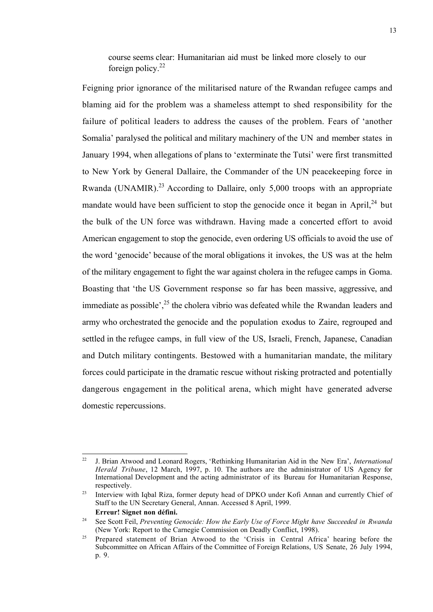course seems clear: Humanitarian aid must be linked more closely to our foreign policy. $22$ 

Feigning prior ignorance of the militarised nature of the Rwandan refugee camps and blaming aid for the problem was a shameless attempt to shed responsibility for the failure of political leaders to address the causes of the problem. Fears of 'another Somalia' paralysed the political and military machinery of the UN and member states in January 1994, when allegations of plans to 'exterminate the Tutsi' were first transmitted to New York by General Dallaire, the Commander of the UN peacekeeping force in Rwanda (UNAMIR).<sup>23</sup> According to Dallaire, only 5,000 troops with an appropriate mandate would have been sufficient to stop the genocide once it began in April.<sup>24</sup> but the bulk of the UN force was withdrawn. Having made a concerted effort to avoid American engagement to stop the genocide, even ordering US officials to avoid the use of the word 'genocide' because of the moral obligations it invokes, the US was at the helm of the military engagement to fight the war against cholera in the refugee camps in Goma. Boasting that 'the US Government response so far has been massive, aggressive, and immediate as possible', $^{25}$  the cholera vibrio was defeated while the Rwandan leaders and army who orchestrated the genocide and the population exodus to Zaire, regrouped and settled in the refugee camps, in full view of the US, Israeli, French, Japanese, Canadian and Dutch military contingents. Bestowed with a humanitarian mandate, the military forces could participate in the dramatic rescue without risking protracted and potentially dangerous engagement in the political arena, which might have generated adverse domestic repercussions.

 $22$ <sup>22</sup> J. Brian Atwood and Leonard Rogers, 'Rethinking Humanitarian Aid in the New Era', *International Herald Tribune*, 12 March, 1997, p. 10. The authors are the administrator of US Agency for International Development and the acting administrator of its Bureau for Humanitarian Response, respectively.

<sup>&</sup>lt;sup>23</sup> Interview with Iqbal Riza, former deputy head of DPKO under Kofi Annan and currently Chief of Staff to the UN Secretary General, Annan. Accessed 8 April, 1999. Erreur! Signet non défini.

<sup>24</sup> See Scott Feil, *Preventing Genocide: How the Early Use of Force Might have Succeeded in Rwanda* (New York: Report to the Carnegie Commission on Deadly Conflict, 1998).

<sup>&</sup>lt;sup>25</sup> Prepared statement of Brian Atwood to the 'Crisis in Central Africa' hearing before the Subcommittee on African Affairs of the Committee of Foreign Relations, US Senate, 26 July 1994, p. 9.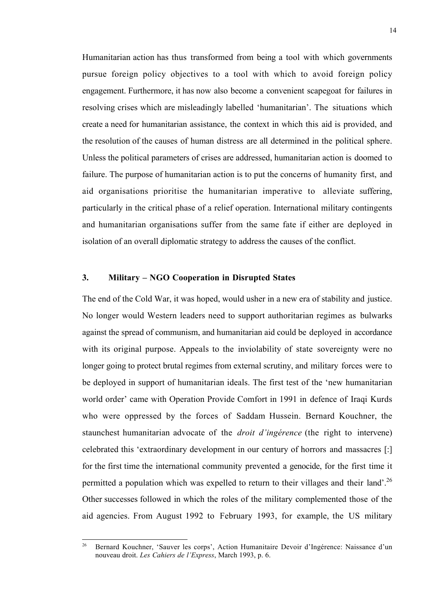Humanitarian action has thus transformed from being a tool with which governments pursue foreign policy objectives to a tool with which to avoid foreign policy engagement. Furthermore, it has now also become a convenient scapegoat for failures in resolving crises which are misleadingly labelled 'humanitarian'. The situations which create a need for humanitarian assistance, the context in which this aid is provided, and the resolution of the causes of human distress are all determined in the political sphere. Unless the political parameters of crises are addressed, humanitarian action is doomed to failure. The purpose of humanitarian action is to put the concerns of humanity first, and aid organisations prioritise the humanitarian imperative to alleviate suffering, particularly in the critical phase of a relief operation. International military contingents and humanitarian organisations suffer from the same fate if either are deployed in isolation of an overall diplomatic strategy to address the causes of the conflict.

# 3. Military – NGO Cooperation in Disrupted States

The end of the Cold War, it was hoped, would usher in a new era of stability and justice. No longer would Western leaders need to support authoritarian regimes as bulwarks against the spread of communism, and humanitarian aid could be deployed in accordance with its original purpose. Appeals to the inviolability of state sovereignty were no longer going to protect brutal regimes from external scrutiny, and military forces were to be deployed in support of humanitarian ideals. The first test of the 'new humanitarian world order' came with Operation Provide Comfort in 1991 in defence of Iraqi Kurds who were oppressed by the forces of Saddam Hussein. Bernard Kouchner, the staunchest humanitarian advocate of the *droit d'ingérence* (the right to intervene) celebrated this 'extraordinary development in our century of horrors and massacres [:] for the first time the international community prevented a genocide, for the first time it permitted a population which was expelled to return to their villages and their land'.<sup>26</sup> Other successes followed in which the roles of the military complemented those of the aid agencies. From August 1992 to February 1993, for example, the US military

<sup>&</sup>lt;sup>26</sup> Bernard Kouchner, 'Sauver les corps', Action Humanitaire Devoir d'Ingérence: Naissance d'un nouveau droit. *Les Cahiers de l'Express*, March 1993, p. 6.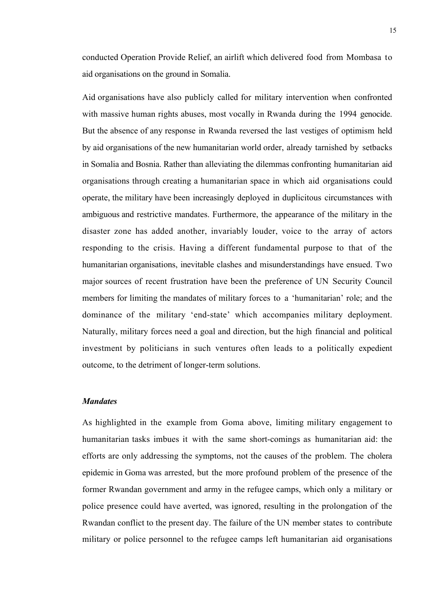conducted Operation Provide Relief, an airlift which delivered food from Mombasa to aid organisations on the ground in Somalia.

Aid organisations have also publicly called for military intervention when confronted with massive human rights abuses, most vocally in Rwanda during the 1994 genocide. But the absence of any response in Rwanda reversed the last vestiges of optimism held by aid organisations of the new humanitarian world order, already tarnished by setbacks in Somalia and Bosnia. Rather than alleviating the dilemmas confronting humanitarian aid organisations through creating a humanitarian space in which aid organisations could operate, the military have been increasingly deployed in duplicitous circumstances with ambiguous and restrictive mandates. Furthermore, the appearance of the military in the disaster zone has added another, invariably louder, voice to the array of actors responding to the crisis. Having a different fundamental purpose to that of the humanitarian organisations, inevitable clashes and misunderstandings have ensued. Two major sources of recent frustration have been the preference of UN Security Council members for limiting the mandates of military forces to a 'humanitarian' role; and the dominance of the military 'end-state' which accompanies military deployment. Naturally, military forces need a goal and direction, but the high financial and political investment by politicians in such ventures often leads to a politically expedient outcome, to the detriment of longer-term solutions.

#### *Mandates*

As highlighted in the example from Goma above, limiting military engagement to humanitarian tasks imbues it with the same short-comings as humanitarian aid: the efforts are only addressing the symptoms, not the causes of the problem. The cholera epidemic in Goma was arrested, but the more profound problem of the presence of the former Rwandan government and army in the refugee camps, which only a military or police presence could have averted, was ignored, resulting in the prolongation of the Rwandan conflict to the present day. The failure of the UN member states to contribute military or police personnel to the refugee camps left humanitarian aid organisations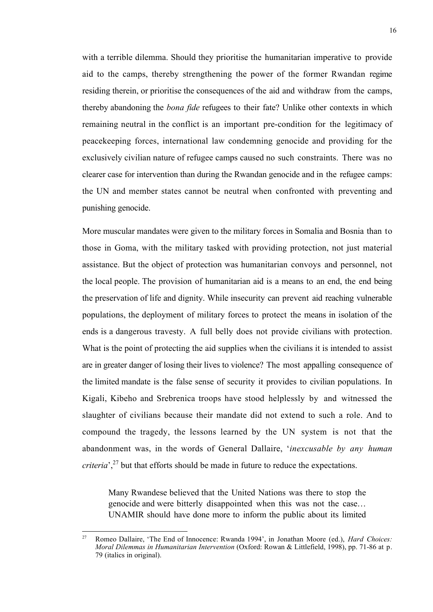with a terrible dilemma. Should they prioritise the humanitarian imperative to provide aid to the camps, thereby strengthening the power of the former Rwandan regime residing therein, or prioritise the consequences of the aid and withdraw from the camps, thereby abandoning the *bona fide* refugees to their fate? Unlike other contexts in which remaining neutral in the conflict is an important pre-condition for the legitimacy of peacekeeping forces, international law condemning genocide and providing for the exclusively civilian nature of refugee camps caused no such constraints. There was no clearer case for intervention than during the Rwandan genocide and in the refugee camps: the UN and member states cannot be neutral when confronted with preventing and punishing genocide.

More muscular mandates were given to the military forces in Somalia and Bosnia than to those in Goma, with the military tasked with providing protection, not just material assistance. But the object of protection was humanitarian convoys and personnel, not the local people. The provision of humanitarian aid is a means to an end, the end being the preservation of life and dignity. While insecurity can prevent aid reaching vulnerable populations, the deployment of military forces to protect the means in isolation of the ends is a dangerous travesty. A full belly does not provide civilians with protection. What is the point of protecting the aid supplies when the civilians it is intended to assist are in greater danger of losing their lives to violence? The most appalling consequence of the limited mandate is the false sense of security it provides to civilian populations. In Kigali, Kibeho and Srebrenica troops have stood helplessly by and witnessed the slaughter of civilians because their mandate did not extend to such a role. And to compound the tragedy, the lessons learned by the UN system is not that the abandonment was, in the words of General Dallaire, '*inexcusable by any human criteria*<sup>', 27</sup> but that efforts should be made in future to reduce the expectations.

Many Rwandese believed that the United Nations was there to stop the genocide and were bitterly disappointed when this was not the case… UNAMIR should have done more to inform the public about its limited

 <sup>27</sup> Romeo Dallaire, 'The End of Innocence: Rwanda 1994', in Jonathan Moore (ed.), *Hard Choices: Moral Dilemmas in Humanitarian Intervention* (Oxford: Rowan & Littlefield, 1998), pp. 71-86 at p. 79 (italics in original).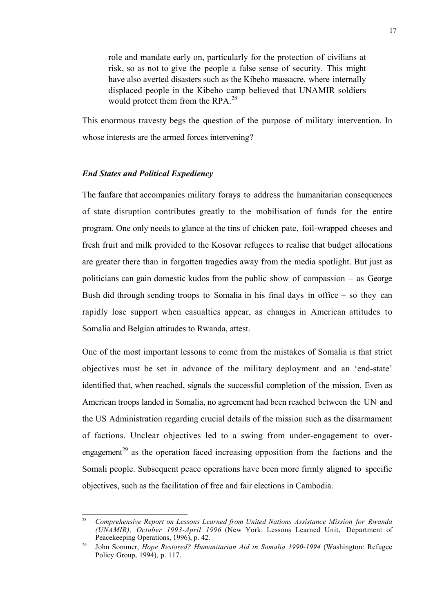role and mandate early on, particularly for the protection of civilians at risk, so as not to give the people a false sense of security. This might have also averted disasters such as the Kibeho massacre, where internally displaced people in the Kibeho camp believed that UNAMIR soldiers would protect them from the RPA.<sup>28</sup>

This enormous travesty begs the question of the purpose of military intervention. In whose interests are the armed forces intervening?

## *End States and Political Expediency*

The fanfare that accompanies military forays to address the humanitarian consequences of state disruption contributes greatly to the mobilisation of funds for the entire program. One only needs to glance at the tins of chicken pate, foil-wrapped cheeses and fresh fruit and milk provided to the Kosovar refugees to realise that budget allocations are greater there than in forgotten tragedies away from the media spotlight. But just as politicians can gain domestic kudos from the public show of compassion – as George Bush did through sending troops to Somalia in his final days in office – so they can rapidly lose support when casualties appear, as changes in American attitudes to Somalia and Belgian attitudes to Rwanda, attest.

One of the most important lessons to come from the mistakes of Somalia is that strict objectives must be set in advance of the military deployment and an 'end-state' identified that, when reached, signals the successful completion of the mission. Even as American troops landed in Somalia, no agreement had been reached between the UN and the US Administration regarding crucial details of the mission such as the disarmament of factions. Unclear objectives led to a swing from under-engagement to overengagement<sup>29</sup> as the operation faced increasing opposition from the factions and the Somali people. Subsequent peace operations have been more firmly aligned to specific objectives, such as the facilitation of free and fair elections in Cambodia.

 $28$ <sup>28</sup> *Comprehensive Report on Lessons Learned from United Nations Assistance Mission for Rwanda (UNAMIR), October 1993-April 1996* (New York: Lessons Learned Unit, Department of Peacekeeping Operations, 1996), p. 42.

<sup>29</sup> John Sommer, *Hope Restored? Humanitarian Aid in Somalia 1990-1994* (Washington: Refugee Policy Group, 1994), p. 117.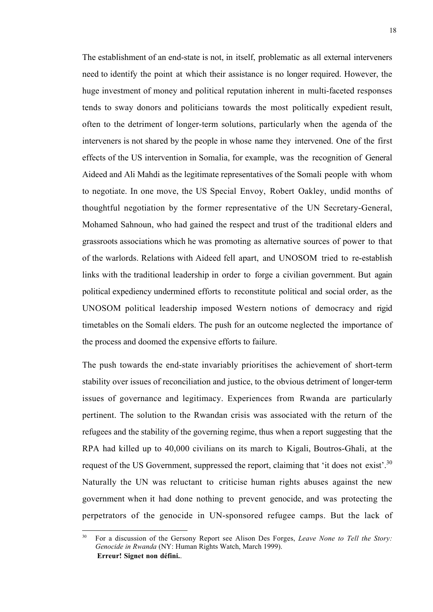The establishment of an end-state is not, in itself, problematic as all external interveners need to identify the point at which their assistance is no longer required. However, the huge investment of money and political reputation inherent in multi-faceted responses tends to sway donors and politicians towards the most politically expedient result, often to the detriment of longer-term solutions, particularly when the agenda of the interveners is not shared by the people in whose name they intervened. One of the first effects of the US intervention in Somalia, for example, was the recognition of General Aideed and Ali Mahdi as the legitimate representatives of the Somali people with whom to negotiate. In one move, the US Special Envoy, Robert Oakley, undid months of thoughtful negotiation by the former representative of the UN Secretary-General, Mohamed Sahnoun, who had gained the respect and trust of the traditional elders and grassroots associations which he was promoting as alternative sources of power to that of the warlords. Relations with Aideed fell apart, and UNOSOM tried to re-establish links with the traditional leadership in order to forge a civilian government. But again political expediency undermined efforts to reconstitute political and social order, as the UNOSOM political leadership imposed Western notions of democracy and rigid timetables on the Somali elders. The push for an outcome neglected the importance of the process and doomed the expensive efforts to failure.

The push towards the end-state invariably prioritises the achievement of short-term stability over issues of reconciliation and justice, to the obvious detriment of longer-term issues of governance and legitimacy. Experiences from Rwanda are particularly pertinent. The solution to the Rwandan crisis was associated with the return of the refugees and the stability of the governing regime, thus when a report suggesting that the RPA had killed up to 40,000 civilians on its march to Kigali, Boutros-Ghali, at the request of the US Government, suppressed the report, claiming that 'it does not exist'.<sup>30</sup> Naturally the UN was reluctant to criticise human rights abuses against the new government when it had done nothing to prevent genocide, and was protecting the perpetrators of the genocide in UN-sponsored refugee camps. But the lack of

 <sup>30</sup> For a discussion of the Gersony Report see Alison Des Forges, *Leave None to Tell the Story: Genocide in Rwanda* (NY: Human Rights Watch, March 1999). Erreur! Signet non défini..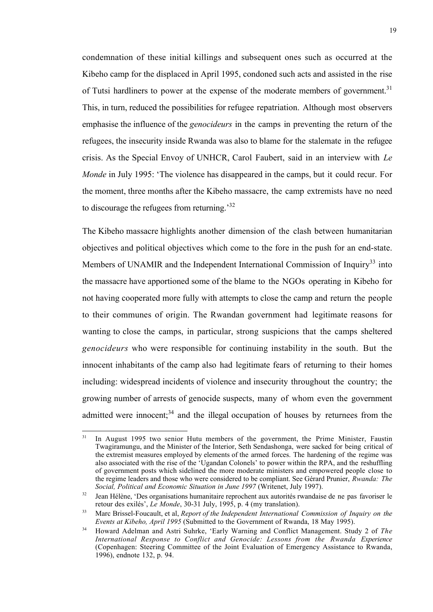condemnation of these initial killings and subsequent ones such as occurred at the Kibeho camp for the displaced in April 1995, condoned such acts and assisted in the rise of Tutsi hardliners to power at the expense of the moderate members of government.<sup>31</sup> This, in turn, reduced the possibilities for refugee repatriation. Although most observers emphasise the influence of the *genocideurs* in the camps in preventing the return of the refugees, the insecurity inside Rwanda was also to blame for the stalemate in the refugee crisis. As the Special Envoy of UNHCR, Carol Faubert, said in an interview with *Le Monde* in July 1995: 'The violence has disappeared in the camps, but it could recur. For the moment, three months after the Kibeho massacre, the camp extremists have no need to discourage the refugees from returning.'32

The Kibeho massacre highlights another dimension of the clash between humanitarian objectives and political objectives which come to the fore in the push for an end-state. Members of UNAMIR and the Independent International Commission of Inquiry<sup>33</sup> into the massacre have apportioned some of the blame to the NGOs operating in Kibeho for not having cooperated more fully with attempts to close the camp and return the people to their communes of origin. The Rwandan government had legitimate reasons for wanting to close the camps, in particular, strong suspicions that the camps sheltered *genocideurs* who were responsible for continuing instability in the south. But the innocent inhabitants of the camp also had legitimate fears of returning to their homes including: widespread incidents of violence and insecurity throughout the country; the growing number of arrests of genocide suspects, many of whom even the government admitted were innocent;<sup>34</sup> and the illegal occupation of houses by returnees from the

In August 1995 two senior Hutu members of the government, the Prime Minister, Faustin Twagiramungu, and the Minister of the Interior, Seth Sendashonga, were sacked for being critical of the extremist measures employed by elements of the armed forces. The hardening of the regime was also associated with the rise of the 'Ugandan Colonels' to power within the RPA, and the reshuffling of government posts which sidelined the more moderate ministers and empowered people close to the regime leaders and those who were considered to be compliant. See Gérard Prunier, *Rwanda: The Social, Political and Economic Situation in June 1997* (Writenet, July 1997).

<sup>&</sup>lt;sup>32</sup> Jean Hélène, 'Des organisations humanitaire reprochent aux autorités rwandaise de ne pas favoriser le retour des exilés', *Le Monde*, 30-31 July, 1995, p. 4 (my translation).

<sup>33</sup> Marc Brissel-Foucault, et al, *Report of the Independent International Commission of Inquiry on the Events at Kibeho, April 1995* (Submitted to the Government of Rwanda, 18 May 1995).

<sup>34</sup> Howard Adelman and Astri Suhrke, 'Early Warning and Conflict Management. Study 2 of *The International Response to Conflict and Genocide: Lessons from the Rwanda Experience* (Copenhagen: Steering Committee of the Joint Evaluation of Emergency Assistance to Rwanda, 1996), endnote 132, p. 94.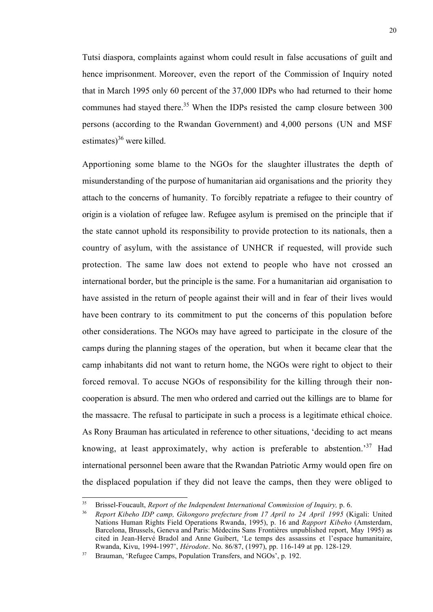Tutsi diaspora, complaints against whom could result in false accusations of guilt and hence imprisonment. Moreover, even the report of the Commission of Inquiry noted that in March 1995 only 60 percent of the 37,000 IDPs who had returned to their home communes had stayed there.<sup>35</sup> When the IDPs resisted the camp closure between  $300$ persons (according to the Rwandan Government) and 4,000 persons (UN and MSF estimates)<sup>36</sup> were killed.

Apportioning some blame to the NGOs for the slaughter illustrates the depth of misunderstanding of the purpose of humanitarian aid organisations and the priority they attach to the concerns of humanity. To forcibly repatriate a refugee to their country of origin is a violation of refugee law. Refugee asylum is premised on the principle that if the state cannot uphold its responsibility to provide protection to its nationals, then a country of asylum, with the assistance of UNHCR if requested, will provide such protection. The same law does not extend to people who have not crossed an international border, but the principle is the same. For a humanitarian aid organisation to have assisted in the return of people against their will and in fear of their lives would have been contrary to its commitment to put the concerns of this population before other considerations. The NGOs may have agreed to participate in the closure of the camps during the planning stages of the operation, but when it became clear that the camp inhabitants did not want to return home, the NGOs were right to object to their forced removal. To accuse NGOs of responsibility for the killing through their noncooperation is absurd. The men who ordered and carried out the killings are to blame for the massacre. The refusal to participate in such a process is a legitimate ethical choice. As Rony Brauman has articulated in reference to other situations, 'deciding to act means knowing, at least approximately, why action is preferable to abstention.<sup>37</sup> Had international personnel been aware that the Rwandan Patriotic Army would open fire on the displaced population if they did not leave the camps, then they were obliged to

 <sup>35</sup> Brissel-Foucault, *Report of the Independent International Commission of Inquiry,* p. 6.

<sup>36</sup> *Report Kibeho IDP camp, Gikongoro prefecture from 17 April to 24 April 1995* (Kigali: United Nations Human Rights Field Operations Rwanda, 1995), p. 16 and *Rapport Kibeho* (Amsterdam, Barcelona, Brussels, Geneva and Paris: Médecins Sans Frontières unpublished report, May 1995) as cited in Jean-Hervé Bradol and Anne Guibert, 'Le temps des assassins et l'espace humanitaire, Rwanda, Kivu, 1994-1997', *Hérodote*. No. 86/87, (1997), pp. 116-149 at pp. 128-129.

<sup>&</sup>lt;sup>37</sup> Brauman, 'Refugee Camps, Population Transfers, and NGOs', p. 192.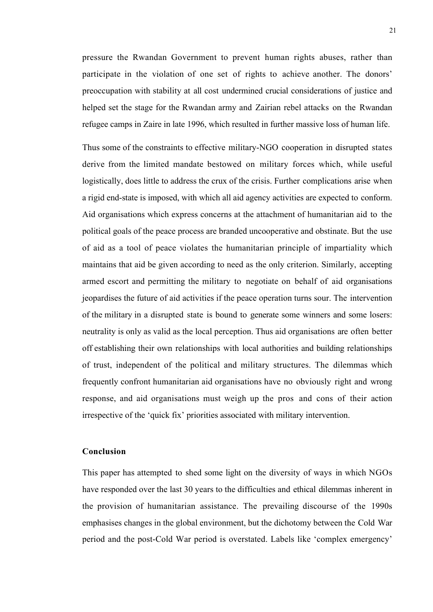pressure the Rwandan Government to prevent human rights abuses, rather than participate in the violation of one set of rights to achieve another. The donors' preoccupation with stability at all cost undermined crucial considerations of justice and helped set the stage for the Rwandan army and Zairian rebel attacks on the Rwandan refugee camps in Zaire in late 1996, which resulted in further massive loss of human life.

Thus some of the constraints to effective military-NGO cooperation in disrupted states derive from the limited mandate bestowed on military forces which, while useful logistically, does little to address the crux of the crisis. Further complications arise when a rigid end-state is imposed, with which all aid agency activities are expected to conform. Aid organisations which express concerns at the attachment of humanitarian aid to the political goals of the peace process are branded uncooperative and obstinate. But the use of aid as a tool of peace violates the humanitarian principle of impartiality which maintains that aid be given according to need as the only criterion. Similarly, accepting armed escort and permitting the military to negotiate on behalf of aid organisations jeopardises the future of aid activities if the peace operation turns sour. The intervention of the military in a disrupted state is bound to generate some winners and some losers: neutrality is only as valid as the local perception. Thus aid organisations are often better off establishing their own relationships with local authorities and building relationships of trust, independent of the political and military structures. The dilemmas which frequently confront humanitarian aid organisations have no obviously right and wrong response, and aid organisations must weigh up the pros and cons of their action irrespective of the 'quick fix' priorities associated with military intervention.

## Conclusion

This paper has attempted to shed some light on the diversity of ways in which NGOs have responded over the last 30 years to the difficulties and ethical dilemmas inherent in the provision of humanitarian assistance. The prevailing discourse of the 1990s emphasises changes in the global environment, but the dichotomy between the Cold War period and the post-Cold War period is overstated. Labels like 'complex emergency'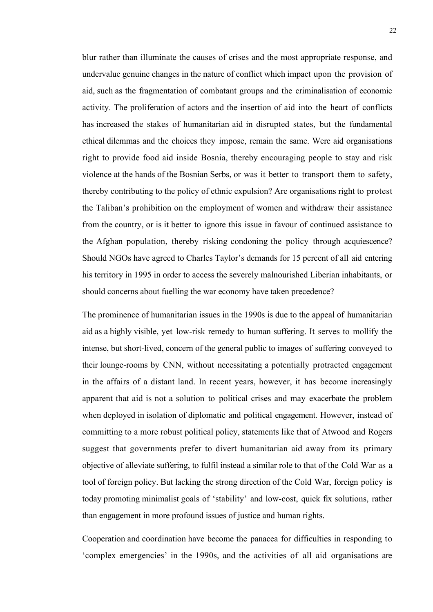blur rather than illuminate the causes of crises and the most appropriate response, and undervalue genuine changes in the nature of conflict which impact upon the provision of aid, such as the fragmentation of combatant groups and the criminalisation of economic activity. The proliferation of actors and the insertion of aid into the heart of conflicts has increased the stakes of humanitarian aid in disrupted states, but the fundamental ethical dilemmas and the choices they impose, remain the same. Were aid organisations right to provide food aid inside Bosnia, thereby encouraging people to stay and risk violence at the hands of the Bosnian Serbs, or was it better to transport them to safety, thereby contributing to the policy of ethnic expulsion? Are organisations right to protest the Taliban's prohibition on the employment of women and withdraw their assistance from the country, or is it better to ignore this issue in favour of continued assistance to the Afghan population, thereby risking condoning the policy through acquiescence? Should NGOs have agreed to Charles Taylor's demands for 15 percent of all aid entering his territory in 1995 in order to access the severely malnourished Liberian inhabitants, or should concerns about fuelling the war economy have taken precedence?

The prominence of humanitarian issues in the 1990s is due to the appeal of humanitarian aid as a highly visible, yet low-risk remedy to human suffering. It serves to mollify the intense, but short-lived, concern of the general public to images of suffering conveyed to their lounge-rooms by CNN, without necessitating a potentially protracted engagement in the affairs of a distant land. In recent years, however, it has become increasingly apparent that aid is not a solution to political crises and may exacerbate the problem when deployed in isolation of diplomatic and political engagement. However, instead of committing to a more robust political policy, statements like that of Atwood and Rogers suggest that governments prefer to divert humanitarian aid away from its primary objective of alleviate suffering, to fulfil instead a similar role to that of the Cold War as a tool of foreign policy. But lacking the strong direction of the Cold War, foreign policy is today promoting minimalist goals of 'stability' and low-cost, quick fix solutions, rather than engagement in more profound issues of justice and human rights.

Cooperation and coordination have become the panacea for difficulties in responding to 'complex emergencies' in the 1990s, and the activities of all aid organisations are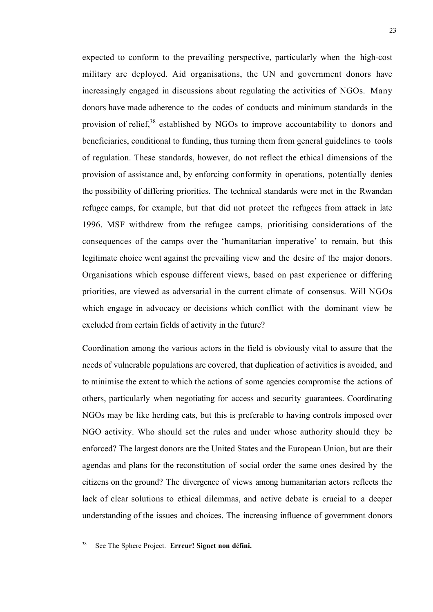expected to conform to the prevailing perspective, particularly when the high-cost military are deployed. Aid organisations, the UN and government donors have increasingly engaged in discussions about regulating the activities of NGOs. Many donors have made adherence to the codes of conducts and minimum standards in the provision of relief.<sup>38</sup> established by NGOs to improve accountability to donors and beneficiaries, conditional to funding, thus turning them from general guidelines to tools of regulation. These standards, however, do not reflect the ethical dimensions of the provision of assistance and, by enforcing conformity in operations, potentially denies the possibility of differing priorities. The technical standards were met in the Rwandan refugee camps, for example, but that did not protect the refugees from attack in late 1996. MSF withdrew from the refugee camps, prioritising considerations of the consequences of the camps over the 'humanitarian imperative' to remain, but this legitimate choice went against the prevailing view and the desire of the major donors. Organisations which espouse different views, based on past experience or differing priorities, are viewed as adversarial in the current climate of consensus. Will NGOs which engage in advocacy or decisions which conflict with the dominant view be excluded from certain fields of activity in the future?

Coordination among the various actors in the field is obviously vital to assure that the needs of vulnerable populations are covered, that duplication of activities is avoided, and to minimise the extent to which the actions of some agencies compromise the actions of others, particularly when negotiating for access and security guarantees. Coordinating NGOs may be like herding cats, but this is preferable to having controls imposed over NGO activity. Who should set the rules and under whose authority should they be enforced? The largest donors are the United States and the European Union, but are their agendas and plans for the reconstitution of social order the same ones desired by the citizens on the ground? The divergence of views among humanitarian actors reflects the lack of clear solutions to ethical dilemmas, and active debate is crucial to a deeper understanding of the issues and choices. The increasing influence of government donors

<sup>&</sup>lt;sup>38</sup> See The Sphere Project. Erreur! Signet non défini.